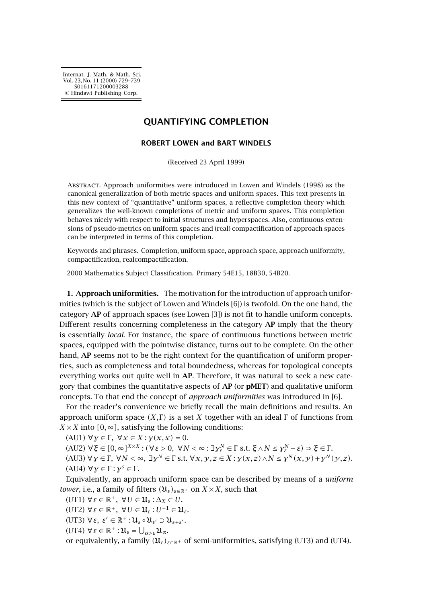[Internat. J. Math. & Math. Sci.](http://ijmms.hindawi.com) Vol. 23, No. 11 (2000) 729–739 S0161171200003288 [© Hindawi Publishing Corp.](http://www.hindawi.com)

## **QUANTIFYING COMPLETION**

## **ROBERT LOWEN and BART WINDELS**

(Received 23 April 1999)

Abstract. Approach uniformities were introduced in Lowen and Windels (1998) as the canonical generalization of both metric spaces and uniform spaces. This text presents in this new context of "quantitative" uniform spaces, a reflective completion theory which generalizes the well-known completions of metric and uniform spaces. This completion behaves nicely with respect to initial structures and hyperspaces. Also, continuous extensions of pseudo-metrics on uniform spaces and (real) compactification of approach spaces can be interpreted in terms of this completion.

Keywords and phrases. Completion, uniform space, approach space, approach uniformity, compactification, realcompactification.

2000 Mathematics Subject Classification. Primary 54E15, 18B30, 54B20.

**1. Approach uniformities.** The motivation for the introduction of approach uniformities (which is the subject of Lowen and Windels [\[6\]](#page-10-0)) is twofold. On the one hand, the category **AP** of approach spaces (see Lowen [\[3\]](#page-10-0)) is not fit to handle uniform concepts. Different results concerning completeness in the category **AP** imply that the theory is essentially *local*. For instance, the space of continuous functions between metric spaces, equipped with the pointwise distance, turns out to be complete. On the other hand, **AP** seems not to be the right context for the quantification of uniform properties, such as completeness and total boundedness, whereas for topological concepts everything works out quite well in **AP**. Therefore, it was natural to seek a new category that combines the quantitative aspects of **AP** (or **pMET**) and qualitative uniform concepts. To that end the concept of *approach uniformities* was introduced in [\[6\]](#page-10-0).

For the reader's convenience we briefly recall the main definitions and results. An approach uniform space  $(X,\Gamma)$  is a set X together with an ideal  $\Gamma$  of functions from  $X \times X$  into  $[0, \infty]$ , satisfying the following conditions:

 $(AUI)$  ∀*γ* ∈ Γ, ∀*x* ∈ *X* : *γ*(*x*, *x*) = 0.

 $(AU2) \ \forall \xi \in [0, \infty]^{X \times X} : (\forall \varepsilon > 0, \ \forall N < \infty : \exists \gamma_{\varepsilon}^{N} \in \Gamma \text{ s.t. } \xi \wedge N \leq \gamma_{\varepsilon}^{N} + \varepsilon) \Rightarrow \xi \in \Gamma.$ (AU3)  $\forall y \in \Gamma, \forall N < \infty, \exists y^N \in \Gamma \text{ s.t. } \forall x, y, z \in X : y(x, z) \wedge N \leq y^N(x, y) + y^N(y, z)$ . (AU4) ∀*γ* ∈ Γ : *γ<sup>s</sup>* ∈ Γ .

Equivalently, an approach uniform space can be described by means of a *uniform tower*, i.e., a family of filters  $(U_{\varepsilon})_{\varepsilon \in \mathbb{R}^+}$  on  $X \times X$ , such that

(UT1) ∀*ε* ∈ R+*,* ∀*U* ∈ U*<sup>ε</sup>* : ∆*<sup>X</sup>* ⊂ *U*.

(UT2) ∀*ε* ∈ R+*,* ∀*U* ∈ U*<sup>ε</sup>* : *U*−<sup>1</sup> ∈ U*ε*.

(UT3)  $\forall$ *ε*, *ε'* ∈ ℝ<sup>+</sup> :  $\mathfrak{U}_{\varepsilon} \circ \mathfrak{U}_{\varepsilon'} \supset \mathfrak{U}_{\varepsilon+\varepsilon'}$ .

 $(UT4) \ \forall \varepsilon \in \mathbb{R}^+ : \mathfrak{U}_{\varepsilon} = \bigcup_{\alpha > \varepsilon} \mathfrak{U}_{\alpha}.$ 

or equivalently, a family  $(\mathfrak{U}_{\varepsilon})_{\varepsilon \in \mathbb{R}^+}$  of semi-uniformities, satisfying (UT3) and (UT4).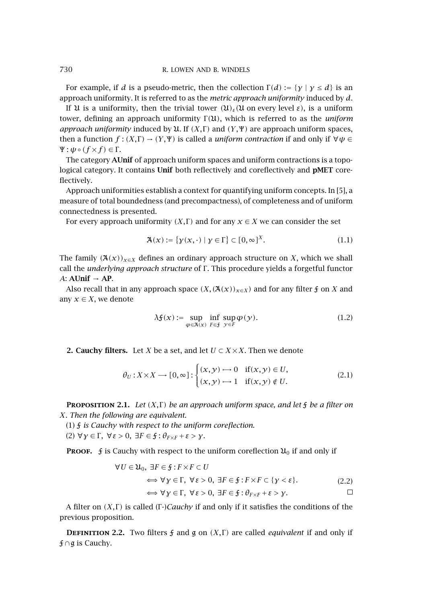For example, if *d* is a pseudo-metric, then the collection  $\Gamma(d) := \{ \gamma \mid \gamma \leq d \}$  is an approach uniformity. It is referred to as the *metric approach uniformity* induced by *d*.

If U is a uniformity, then the trivial tower *(*U*)ε(*U on every level *ε)*, is a uniform tower, defining an approach uniformity Γ *(*U*)*, which is referred to as the *uniform approach uniformity* induced by  $U$ . If  $(X, \Gamma)$  and  $(Y, \Psi)$  are approach uniform spaces, then a function  $f : (X,\Gamma) \to (Y,\Psi)$  is called a *uniform contraction* if and only if  $\forall \psi \in$  $\Psi$  :  $\psi \circ (f \times f) \in \Gamma$ .

The category **AUnif** of approach uniform spaces and uniform contractions is a topological category. It contains **Unif** both reflectively and coreflectively and **pMET** coreflectively.

Approach uniformities establish a context for quantifying uniform concepts. In [\[5\]](#page-10-0), a measure of total boundedness (and precompactness), of completeness and of uniform connectedness is presented.

For every approach uniformity  $(X, \Gamma)$  and for any  $x \in X$  we can consider the set

$$
\mathfrak{A}(\mathbf{x}) := \{ \mathbf{y}(\mathbf{x}, \cdot) \mid \mathbf{y} \in \Gamma \} \subset [0, \infty]^X. \tag{1.1}
$$

The family  $(\mathfrak{A}(x))_{x\in X}$  defines an ordinary approach structure on *X*, which we shall call the *underlying approach structure* of Γ . This procedure yields a forgetful functor *A*: **AUnif** → **AP**.

Also recall that in any approach space  $(X,(\mathcal{A}(\mathcal{X}))_{\mathcal{X}\in X})$  and for any filter *f* on *X* and any  $x \in X$ , we denote

$$
\lambda \mathfrak{f}(x) := \sup_{\varphi \in \mathfrak{A}(x)} \inf_{F \in \mathfrak{f}} \sup_{y \in F} \varphi(y). \tag{1.2}
$$

**2. Cauchy filters.** Let *X* be a set, and let  $U \subset X \times X$ . Then we denote

$$
\theta_U: X \times X \longrightarrow [0, \infty]: \begin{cases} (x, y) \longrightarrow 0 & \text{if } (x, y) \in U, \\ (x, y) \longrightarrow 1 & \text{if } (x, y) \notin U. \end{cases}
$$
 (2.1)

**PROPOSITION 2.1.** *Let*  $(X, \Gamma)$  *be an approach uniform space, and let*  $\frac{1}{2}$  *be a filter on X. Then the following are equivalent.*

- (1) F *is Cauchy with respect to the uniform coreflection.*
- (2) ∀*γ* ∈ Γ *,* ∀*ε >* 0*,* ∃*F* ∈ F : *θF*<sup>×</sup>*<sup>F</sup>* +*ε>γ.*

**PROOF.**  $\mathbf f$  is Cauchy with respect to the uniform coreflection  $\mathfrak{U}_0$  if and only if

$$
\forall U \in \mathfrak{U}_0, \exists F \in \mathfrak{f} : F \times F \subset U
$$
  
\n
$$
\iff \forall y \in \Gamma, \forall \varepsilon > 0, \exists F \in \mathfrak{f} : F \times F \subset \{y < \varepsilon\}. \tag{2.2}
$$
  
\n
$$
\iff \forall y \in \Gamma, \forall \varepsilon > 0, \exists F \in \mathfrak{f} : \theta_{F \times F} + \varepsilon > y.
$$

A filter on *(X,Γ)* is called *(Γ-)Cauchy* if and only if it satisfies the conditions of the previous proposition.

**DEFINITION** 2.2. Two filters  $f$  and  $g$  on *(X, Γ)* are called *equivalent* if and only if F∩g is Cauchy.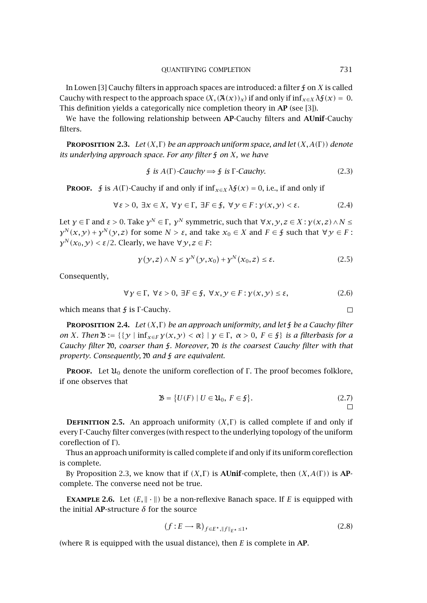<span id="page-2-0"></span>In Lowen [\[3\]](#page-10-0) Cauchy filters in approach spaces are introduced: a filter F on *X* is called Cauchy with respect to the approach space  $(X, (\mathcal{A}(x))_x)$  if and only if  $\inf_{x \in X} \lambda \mathfrak{f}(x) = 0$ . This definition yields a categorically nice completion theory in **AP** (see [\[3\]](#page-10-0)).

We have the following relationship between **AP**-Cauchy filters and **AUnif**-Cauchy filters.

**PROPOSITION 2.3.** *Let*  $(X, \Gamma)$  *be an approach uniform space, and let*  $(X, A(\Gamma))$  *denote its underlying approach space. For any filter* F *on X, we have*

$$
\text{if is } A(\Gamma) \text{-}Cauchy \Longrightarrow \text{if is } \Gamma \text{-}Cauchy. \tag{2.3}
$$

**PROOF.**  $\oint$  is  $A(\Gamma)$ -Cauchy if and only if  $\inf_{x \in X} \lambda \oint_x (x) = 0$ , i.e., if and only if

$$
\forall \varepsilon > 0, \ \exists x \in X, \ \forall y \in \Gamma, \ \exists F \in \mathfrak{f}, \ \forall y \in F : y(x, y) < \varepsilon. \tag{2.4}
$$

Let  $\gamma \in \Gamma$  and  $\varepsilon > 0$ . Take  $\gamma^N \in \Gamma$ ,  $\gamma^N$  symmetric, such that  $\forall x, \gamma, z \in X : \gamma(x, z) \land N \leq$ *γ*<sup>*N*</sup>(*x, y*) + *γ*<sup>*N*</sup>(*y,z*) for some *N* > *ε*, and take *x*<sub>0</sub> ∈ *X* and *F* ∈ *f* such that ∀*y* ∈ *F* : *γ*<sup>*N*</sup> (*x*<sub>0</sub>, *γ*) < *ε*/2. Clearly, we have  $∀$  *γ*, *z* ∈ *F*:

$$
\gamma(y, z) \wedge N \le \gamma^N(y, x_0) + \gamma^N(x_0, z) \le \varepsilon. \tag{2.5}
$$

Consequently,

$$
\forall y \in \Gamma, \ \forall \varepsilon > 0, \ \exists F \in \mathfrak{f}, \ \forall x, y \in F : y(x, y) \le \varepsilon,\tag{2.6}
$$

which means that *f* is Γ-Cauchy.

**PROPOSITION 2.4.** Let  $(X, \Gamma)$  be an approach uniformity, and let  $\frac{1}{2}$  be a Cauchy filter *on X. Then*  $\mathcal{B} := \{ \{y \mid \inf_{x \in F} y(x, y) < \alpha \} \mid y \in \Gamma, \alpha > 0, F \in \mathcal{F} \}$  *is a filterbasis for a Cauchy filter* M*, coarser than* F*. Moreover,* M *is the coarsest Cauchy filter with that property. Consequently,* M *and* F *are equivalent.*

**PROOF.** Let  $\mathfrak{U}_0$  denote the uniform coreflection of Γ. The proof becomes folklore, if one observes that

$$
\mathfrak{B} = \{ U(F) \mid U \in \mathfrak{U}_0, F \in \mathfrak{f} \}. \tag{2.7}
$$

**DEFINITION 2.5.** An approach uniformity  $(X, \Gamma)$  is called complete if and only if every Γ -Cauchy filter converges (with respect to the underlying topology of the uniform coreflection of Γ).

Thus an approach uniformity is called complete if and only if its uniform coreflection is complete.

By Proposition 2.3, we know that if  $(X, \Gamma)$  is **AUnif**-complete, then  $(X, A(\Gamma))$  is **AP**complete. The converse need not be true.

**EXAMPLE** 2.6. Let  $(E, \|\cdot\|)$  be a non-reflexive Banach space. If E is equipped with the initial **AP**-structure *δ* for the source

$$
(f: E \longrightarrow \mathbb{R})_{f \in E^{\star}, \|f\|_{E^{\star}} \le 1},\tag{2.8}
$$

(where R is equipped with the usual distance), then *E* is complete in **AP**.

 $\Box$ 

 $\Box$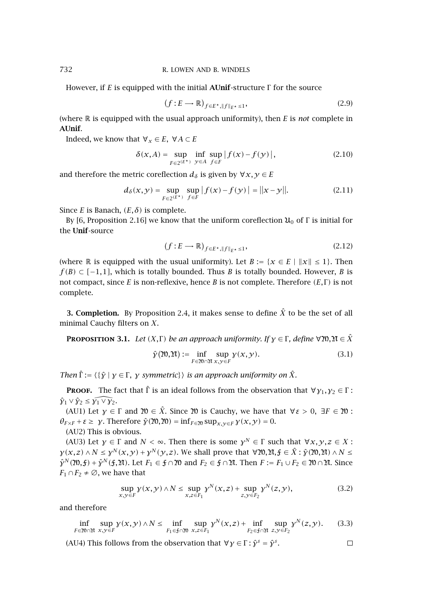However, if *E* is equipped with the initial **AUnif**-structure Γ for the source

$$
(f: E \longrightarrow \mathbb{R})_{f \in E^{\star}, \|f\|_{E^{\star}} \le 1},\tag{2.9}
$$

(where R is equipped with the usual approach uniformity), then *E* is *not* complete in **AUnif**.

Indeed, we know that  $\forall x \in E$ ,  $\forall A \subset E$ 

$$
\delta(x, A) = \sup_{F \in 2^{(E^*)}} \inf_{y \in A} \sup_{f \in F} |f(x) - f(y)|,
$$
\n(2.10)

and therefore the metric coreflection  $d_{\delta}$  is given by  $\forall x, y \in E$ 

$$
d_{\delta}(x, y) = \sup_{F \in 2^{(E^*)}} \sup_{f \in F} |f(x) - f(y)| = ||x - y||. \tag{2.11}
$$

Since *E* is Banach,  $(E, \delta)$  is complete.

By [\[6,](#page-10-0) Proposition 2.16] we know that the uniform coreflection  $\mathfrak{U}_0$  of Γ is initial for the **Unif**-source

$$
(f: E \longrightarrow \mathbb{R})_{f \in E^{\star}, \|f\|_{E^{\star}} \le 1},\tag{2.12}
$$

(where R is equipped with the usual uniformity). Let  $B := \{x \in E \mid ||x|| \le 1\}$ . Then *f*(*B*) ⊂ [-1,1], which is totally bounded. Thus *B* is totally bounded. However, *B* is not compact, since *E* is non-reflexive, hence *B* is not complete. Therefore *(E,* Γ *)* is not complete.

**3. Completion.** By [Proposition 2.4,](#page-2-0) it makes sense to define  $\hat{X}$  to be the set of all minimal Cauchy filters on *X*.

**PROPOSITION** 3.1. *Let*  $(X, \Gamma)$  *be an approach uniformity. If*  $\gamma \in \Gamma$ *, define*  $\forall \mathfrak{N}, \mathfrak{N} \in \hat{X}$ 

$$
\hat{\mathbf{y}}(\mathfrak{N}, \mathfrak{N}) := \inf_{F \in \mathfrak{N} \cap \mathfrak{N}} \sup_{x, y \in F} \mathbf{y}(x, y). \tag{3.1}
$$

*Then*  $\hat{\Gamma}$  :=  $\{\{\hat{\gamma} \mid \gamma \in \Gamma, \gamma \text{ symmetric}\}\}\$  *is an approach uniformity on*  $\hat{X}$ *.* 

**PROOF.** The fact that  $\hat{\Gamma}$  is an ideal follows from the observation that  $\forall y_1, y_2 \in \Gamma$ :  $\hat{\gamma}_1 \vee \hat{\gamma}_2 \leq \widehat{\gamma_1 \vee \gamma_2}.$ 

(AU1) Let *γ* ∈ Γ and  $\mathfrak{W}$  ∈  $\hat{X}$ . Since  $\mathfrak{W}$  is Cauchy, we have that  $∀ ε > 0$ , ∃F ∈  $\mathfrak{W}$ :  $\theta_{F \times F} + \varepsilon \geq \gamma$ . Therefore  $\hat{\gamma}(m, m) = \inf_{F \in \mathfrak{M}} \sup_{x, y \in F} \gamma(x, y) = 0$ .

(AU2) This is obvious.

(AU3) Let  $\gamma \in \Gamma$  and  $N < \infty$ . Then there is some  $\gamma^N \in \Gamma$  such that  $\forall x, y, z \in X$ :  $\gamma(x, z) \wedge N \leq \gamma^N(x, y) + \gamma^N(y, z)$ . We shall prove that  $\forall \mathfrak{N}, \mathfrak{N}, f \in \hat{X} : \hat{\gamma}( \mathfrak{N}, \mathfrak{N}) \wedge N \leq \gamma^N(y, z)$  $\hat{\gamma}^N(\mathfrak{M},\mathfrak{f})+\hat{\gamma}^N(\mathfrak{f},\mathfrak{M})$ . Let  $F_1 \in \mathfrak{f} \cap \mathfrak{M}$  and  $F_2 \in \mathfrak{f} \cap \mathfrak{M}$ . Then  $F := F_1 \cup F_2 \in \mathfrak{M} \cap \mathfrak{M}$ . Since *F*<sub>1</sub> ∩ *F*<sub>2</sub> ≠  $\emptyset$ , we have that

$$
\sup_{x,y \in F} \gamma(x,y) \wedge N \le \sup_{x,z \in F_1} \gamma^N(x,z) + \sup_{z,y \in F_2} \gamma^N(z,y),
$$
\n(3.2)

 $\Box$ 

and therefore

$$
\inf_{F \in 20 \cap \mathfrak{M}} \sup_{x, y \in F} \gamma(x, y) \wedge N \le \inf_{F_1 \in \mathfrak{f} \cap \mathfrak{W}} \sup_{x, z \in F_1} \gamma^N(x, z) + \inf_{F_2 \in \mathfrak{f} \cap \mathfrak{M}} \sup_{z, y \in F_2} \gamma^N(z, y). \tag{3.3}
$$

(AU4) This follows from the observation that  $\forall y \in \Gamma : \hat{y}^s = \hat{y}^s$ .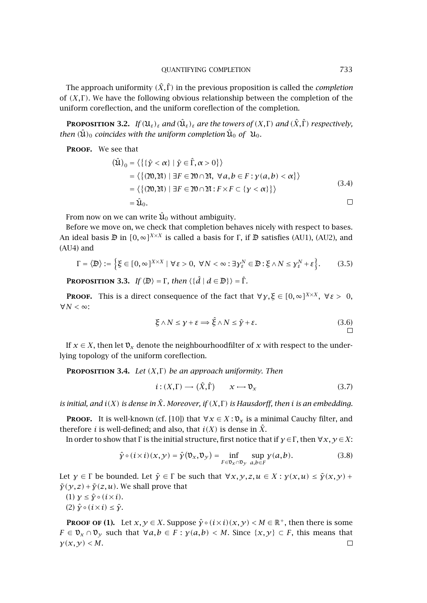<span id="page-4-0"></span>The approach uniformity  $(\hat{X}, \hat{\Gamma})$  in the previous proposition is called the *completion* of *(X,* Γ *)*. We have the following obvious relationship between the completion of the uniform coreflection, and the uniform coreflection of the completion.

**PROPOSITION** 3.2. *If*  $(\mathfrak{U}_{\varepsilon})_{\varepsilon}$  *and*  $(\hat{\mathfrak{U}}_{\varepsilon})_{\varepsilon}$  *are the towers of*  $(X,\Gamma)$  *and*  $(\hat{X},\hat{\Gamma})$  *respectively, then*  $(\hat{\mathfrak{U}})_0$  *coincides with the uniform completion*  $\hat{\mathfrak{U}}_0$  *of*  $\mathfrak{U}_0$ *.* 

**Proof.** We see that

$$
(\hat{\mathfrak{U}})_0 = \langle \{ \{ \hat{y} < \alpha \} \mid \hat{y} \in \hat{\Gamma}, \alpha > 0 \} \rangle
$$
\n
$$
= \langle \{ (20, 20) \mid \exists F \in 20 \cap 20, \forall a, b \in F : y(a, b) < \alpha \} \rangle
$$
\n
$$
= \langle \{ (20, 20) \mid \exists F \in 20 \cap 20 : F \times F \subset \{ y < \alpha \} \} \rangle
$$
\n
$$
= \hat{\mathfrak{U}}_0.
$$
\n
$$
\Box
$$

From now on we can write  $\hat{\mathfrak{U}}_0$  without ambiguity.

Before we move on, we check that completion behaves nicely with respect to bases. An ideal basis  $\mathbb{D}$  in  $[0, \infty]^{X \times X}$  is called a basis for  $\Gamma$ , if  $\mathbb{D}$  satisfies (AU1), (AU2), and (AU4) and

$$
\Gamma = \langle \mathbb{D} \rangle := \Big\{ \xi \in [0, \infty]^{X \times X} \mid \forall \, \varepsilon > 0, \ \forall N < \infty : \exists \, \gamma_{\varepsilon}^N \in \mathbb{D} : \xi \wedge N \leq \gamma_{\varepsilon}^N + \varepsilon \Big\}. \tag{3.5}
$$

**PROPOSITION** 3.3. *If*  $\langle \Phi \rangle = \Gamma$ , then  $\langle \{\hat{d} \mid d \in \mathbb{D}\}\rangle = \hat{\Gamma}$ .

**Proof.** This is a direct consequence of the fact that  $\forall y, \xi \in [0, \infty]^{X \times X}$ ,  $\forall \xi > 0$ , ∀*N <* ∞:

$$
\xi \wedge N \le \gamma + \varepsilon \Longrightarrow \hat{\xi} \wedge N \le \hat{\gamma} + \varepsilon. \tag{3.6}
$$

If  $x \in X$ , then let  $\mathfrak{v}_x$  denote the neighbourhoodfilter of x with respect to the underlying topology of the uniform coreflection.

**Proposition 3.4.** *Let (X,* Γ *) be an approach uniformity. Then*

$$
i: (X, \Gamma) \longrightarrow (\hat{X}, \hat{\Gamma}) \qquad x \longmapsto \mathfrak{v}_x \tag{3.7}
$$

*is initial, and i(X) is dense in X*ˆ*. Moreover, if (X,* Γ *) is Hausdorff, then i is an embedding.*

**PROOF.** It is well-known (cf. [\[10\]](#page-10-0)) that  $\forall x \in X : \mathfrak{v}_x$  is a minimal Cauchy filter, and therefore *i* is well-defined; and also, that  $i(X)$  is dense in  $\hat{X}$ .

In order to show that Γ is the initial structure, first notice that if  $\gamma \in \Gamma$ , then  $\forall x, y \in X$ :

$$
\hat{\gamma} \circ (i \times i)(x, y) = \hat{\gamma}(\mathfrak{V}_x, \mathfrak{V}_y) = \inf_{F \in \mathfrak{V}_x \cap \mathfrak{V}_y} \sup_{a, b \in F} \gamma(a, b).
$$
 (3.8)

Let  $\gamma \in \Gamma$  be bounded. Let  $\tilde{\gamma} \in \Gamma$  be such that  $\forall x, y, z, u \in X : \gamma(x, u) \leq \tilde{\gamma}(x, y) + \Gamma(x, y)$  $\tilde{\gamma}(y, z) + \tilde{\gamma}(z, u)$ . We shall prove that

 $(1)$   $\gamma \leq \hat{\gamma} \circ (i \times i)$ .

(2) *γ*ˆ◦*(i*×*i)* ≤ *γ*˜.

**PROOF OF (1).** Let  $x, y \in X$ . Suppose  $\hat{y} \circ (i \times i)(x, y) < M \in \mathbb{R}^+$ , then there is some *F* ∈  $\mathfrak{v}_x \cap \mathfrak{v}_y$  such that  $\forall a, b \in F$  :  $\gamma(a, b) < M$ . Since  $\{x, y\} \subset F$ , this means that  $\gamma(x,y) < M$ .  $\Box$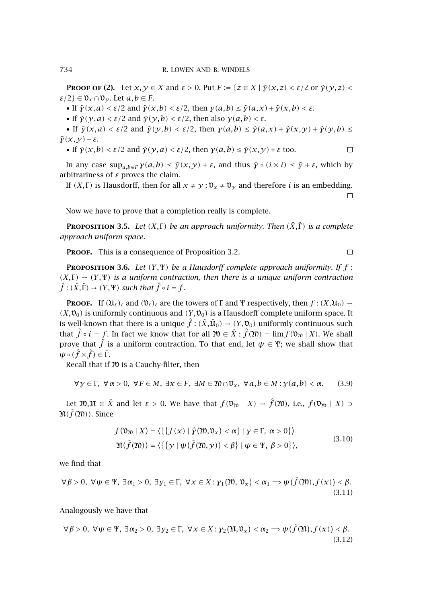**PROOF OF (2).** Let  $x, y \in X$  and  $\varepsilon > 0$ . Put  $F := \{z \in X \mid \tilde{y}(x, z) < \varepsilon/2 \text{ or } \tilde{y}(y, z) < \varepsilon/2 \text{ or } \tilde{y}(y, z) < \varepsilon/2 \text{ or } \tilde{y}(z, z) < \varepsilon/2 \text{ or } \tilde{y}(z, z) < \varepsilon/2 \text{ or } \tilde{y}(z, z) < \varepsilon/2 \text{ or } \tilde{y}(z, z) < \varepsilon/2 \text{ or } \tilde{y}(z, z$  $\varepsilon/2$ }  $\in \mathfrak{V}_x \cap \mathfrak{V}_y$ . Let  $a, b \in F$ .

• If  $\tilde{\gamma}(x,a) < \varepsilon/2$  and  $\tilde{\gamma}(x,b) < \varepsilon/2$ , then  $\gamma(a,b) \leq \tilde{\gamma}(a,x) + \tilde{\gamma}(x,b) < \varepsilon$ .

• If  $\tilde{\gamma}(y,a) < \varepsilon/2$  and  $\tilde{\gamma}(y,b) < \varepsilon/2$ , then also  $\gamma(a,b) < \varepsilon$ .

• If  $\tilde{\gamma}(x,a) < \varepsilon/2$  and  $\tilde{\gamma}(y,b) < \varepsilon/2$ , then  $\gamma(a,b) \leq \tilde{\gamma}(a,x) + \tilde{\gamma}(x,y) + \tilde{\gamma}(y,b) \leq$  $\tilde{\gamma}(x,y) + \varepsilon$ .

 $\Box$ 

 $\Box$ 

• If 
$$
\tilde{y}(x, b) < \varepsilon/2
$$
 and  $\tilde{y}(y, a) < \varepsilon/2$ , then  $y(a, b) \leq \tilde{y}(x, y) + \varepsilon$  too.

In any case  $\sup_{a,b\in F} \gamma(a,b) \leq \tilde{\gamma}(x,y) + \varepsilon$ , and thus  $\hat{\gamma} \circ (i \times i) \leq \tilde{\gamma} + \varepsilon$ , which by arbitrariness of *ε* proves the claim.

If *(X, Γ)* is Hausdorff, then for all  $x \neq y : v_x \neq v_y$  and therefore *i* is an embedding.  $\Box$ 

Now we have to prove that a completion really is complete.

**PROPOSITION 3.5.** *Let*  $(X, \Gamma)$  *be an approach uniformity. Then*  $(\hat{X}, \hat{\Gamma})$  *is a complete approach uniform space.*

PROOF. This is a consequence of [Proposition 3.2.](#page-4-0)

**Proposition 3.6.** *Let (Y ,*Ψ*) be a Hausdorff complete approach uniformity. If f* :  $(X,\Gamma) \rightarrow (Y,\Psi)$  *is a uniform contraction, then there is a unique uniform contraction*  $\hat{f}$  :  $(\hat{X}, \hat{\Gamma}) \rightarrow (Y, \Psi)$  *such that*  $\hat{f} \circ i = f$ .

**PROOF.** If  $(\mathcal{U}_{\varepsilon})_{\varepsilon}$  and  $(\mathcal{V}_{\varepsilon})_{\varepsilon}$  are the towers of  $\Gamma$  and  $\Psi$  respectively, then  $f:(X,\mathcal{U}_0)\to$  $(X, \mathfrak{v}_0)$  is uniformly continuous and  $(Y, \mathfrak{v}_0)$  is a Hausdorff complete uniform space. It is well-known that there is a unique  $\hat{f}:(\hat{X},\hat{\mathfrak{U}}_0)\to(Y,\mathfrak{v}_0)$  uniformly continuous such that  $\hat{f} \circ i = f$ . In fact we know that for all  $\mathfrak{W} \in \hat{X} : \hat{f}(\mathfrak{W}) = \lim f(\mathfrak{V}_{\mathfrak{W}} | X)$ . We shall prove that  $\hat{f}$  is a uniform contraction. To that end, let  $\psi \in \Psi;$  we shall show that  $\psi \circ (\hat{f} \times \hat{f}) \in \hat{\Gamma}$ .

Recall that if  $20$  is a Cauchy-filter, then

$$
\forall y \in \Gamma, \ \forall \alpha > 0, \ \forall F \in M, \ \exists x \in F, \ \exists M \in \mathfrak{W} \cap \mathfrak{V}_x, \ \forall a, b \in M : \gamma(a, b) < \alpha. \tag{3.9}
$$

Let  $\mathfrak{X}, \mathfrak{X} \in \hat{X}$  and let  $\varepsilon > 0$ . We have that  $f(\mathfrak{V}_{\mathfrak{Y}} | X) \to \hat{f}(\mathfrak{X}),$  i.e.,  $f(\mathfrak{V}_{\mathfrak{Y}} | X) \supset$  $\mathfrak{A}(\hat{f}(\mathfrak{A}))$ . Since

$$
f(\mathfrak{v}_{\mathfrak{w}} | X) = \langle \{ \{ f(x) \mid \hat{y}(\mathfrak{w}, \mathfrak{v}_{x}) < \alpha \} \mid y \in \Gamma, \ \alpha > 0 \} \rangle
$$
\n
$$
\mathfrak{M}(\hat{f}(\mathfrak{w})) = \langle \{ \{ y \mid \psi(\hat{f}(\mathfrak{w}, y)) < \beta \} \mid \psi \in \Psi, \ \beta > 0 \} \rangle,
$$
\n
$$
(3.10)
$$

we find that

$$
\forall \beta > 0, \ \forall \psi \in \Psi, \ \exists \alpha_1 > 0, \ \exists \gamma_1 \in \Gamma, \ \forall x \in X : \gamma_1(\mathfrak{N}, \mathfrak{V}_x) < \alpha_1 \Rightarrow \psi(\hat{f}(\mathfrak{N}), f(x)) < \beta. \tag{3.11}
$$

Analogously we have that

$$
\forall \beta > 0, \ \forall \psi \in \Psi, \ \exists \alpha_2 > 0, \ \exists \gamma_2 \in \Gamma, \ \forall \, x \in X : \gamma_2(\mathfrak{M}, \mathfrak{V}_x) < \alpha_2 \Rightarrow \psi(\hat{f}(\mathfrak{M}), f(x)) < \beta. \tag{3.12}
$$

<span id="page-5-0"></span>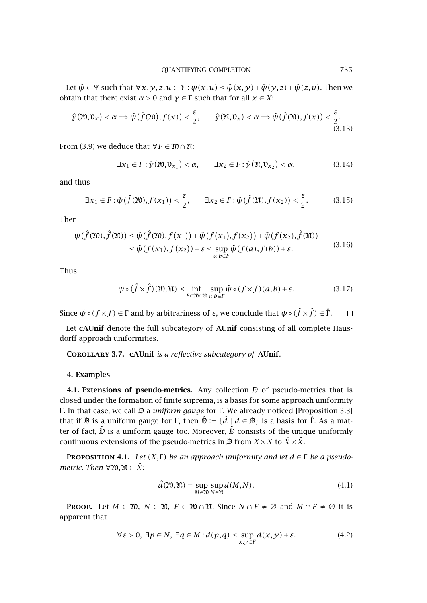<span id="page-6-0"></span>Let  $\tilde{\psi} \in \Psi$  such that  $\forall x, y, z, u \in Y : \psi(x, u) \leq \tilde{\psi}(x, y) + \tilde{\psi}(y, z) + \tilde{\psi}(z, u)$ . Then we obtain that there exist *α >* 0 and *γ* ∈ Γ such that for all *x* ∈ *X*:

$$
\hat{\gamma}(\mathfrak{M},\mathfrak{v}_x) < \alpha \Longrightarrow \tilde{\psi}(\hat{f}(\mathfrak{M}),f(x)) < \frac{\varepsilon}{2}, \qquad \hat{\gamma}(\mathfrak{M},\mathfrak{v}_x) < \alpha \Longrightarrow \tilde{\psi}(\hat{f}(\mathfrak{M}),f(x)) < \frac{\varepsilon}{2}.\tag{3.13}
$$

From [\(3.9\)](#page-5-0) we deduce that  $\forall F \in \mathfrak{W} \cap \mathfrak{X}$ :

$$
\exists x_1 \in F : \hat{\mathbf{y}}(\mathfrak{M}, \mathfrak{V}_{x_1}) < \alpha, \qquad \exists x_2 \in F : \hat{\mathbf{y}}(\mathfrak{M}, \mathfrak{V}_{x_2}) < \alpha,\tag{3.14}
$$

and thus

$$
\exists x_1 \in F : \tilde{\psi}(\hat{f}(\mathfrak{M}), f(x_1)) < \frac{\varepsilon}{2}, \qquad \exists x_2 \in F : \tilde{\psi}(\hat{f}(\mathfrak{M}), f(x_2)) < \frac{\varepsilon}{2}.
$$
 (3.15)

Then

$$
\psi(\hat{f}(\mathfrak{A})), \hat{f}(\mathfrak{A})) \leq \tilde{\psi}(\hat{f}(\mathfrak{A})), f(x_1)) + \tilde{\psi}(f(x_1), f(x_2)) + \tilde{\psi}(f(x_2), \hat{f}(\mathfrak{A}))
$$
  
\n
$$
\leq \tilde{\psi}(f(x_1), f(x_2)) + \varepsilon \leq \sup_{a,b \in F} \tilde{\psi}(f(a), f(b)) + \varepsilon.
$$
\n(3.16)

Thus

$$
\psi \circ (\hat{f} \times \hat{f}) \cdot (\mathfrak{W}, \mathfrak{M}) \le \inf_{F \in \mathfrak{W} \cap \mathfrak{M}} \sup_{a, b \in F} \tilde{\psi} \circ (f \times f) \cdot (a, b) + \varepsilon. \tag{3.17}
$$

Since  $\tilde{\psi}\circ(f\times f)\in\Gamma$  and by arbitrariness of *ε*, we conclude that  $\psi\circ(\hat{f}\times\hat{f})\in\hat{\Gamma}$ .  $\Box$ 

Let **cAUnif** denote the full subcategory of **AUnif** consisting of all complete Hausdorff approach uniformities.

**Corollary 3.7. cAUnif** *is a reflective subcategory of* **AUnif**.

## **4. Examples**

**4.1. Extensions of pseudo-metrics.** Any collection  $\mathbb{D}$  of pseudo-metrics that is closed under the formation of finite suprema, is a basis for some approach uniformity Γ . In that case, we call D a *uniform gauge* for Γ . We already noticed [\[Proposition 3.3\]](#page-4-0) that if  $\mathbb D$  is a uniform gauge for Γ, then  $\mathbb D := \{\hat d \mid d \in \mathbb D\}$  is a basis for  $\hat \Gamma$ . As a matter of fact,  $\tilde{\mathbb{D}}$  is a uniform gauge too. Moreover,  $\tilde{\mathbb{D}}$  consists of the unique uniformly continuous extensions of the pseudo-metrics in  $\mathbb{D}$  from *X* × *X* to  $\hat{X}$  ×  $\hat{X}$ .

**PROPOSITION 4.1.** *Let*  $(X, \Gamma)$  *be an approach uniformity and let*  $d \in \Gamma$  *be a pseudometric. Then*  $\forall$ 20,2 $\mathfrak{A} \in \hat{X}$ *:* 

$$
\hat{d}(\mathfrak{N}, \mathfrak{N}) = \sup_{M \in \mathfrak{N}} \sup_{N \in \mathfrak{N}} d(M, N). \tag{4.1}
$$

**PROOF.** Let  $M \in \mathfrak{M}$ ,  $N \in \mathfrak{M}$ ,  $F \in \mathfrak{M} \cap \mathfrak{N}$ . Since  $N \cap F \neq \emptyset$  and  $M \cap F \neq \emptyset$  it is apparent that

$$
\forall \varepsilon > 0, \exists p \in N, \exists q \in M : d(p,q) \le \sup_{x,y \in F} d(x,y) + \varepsilon. \tag{4.2}
$$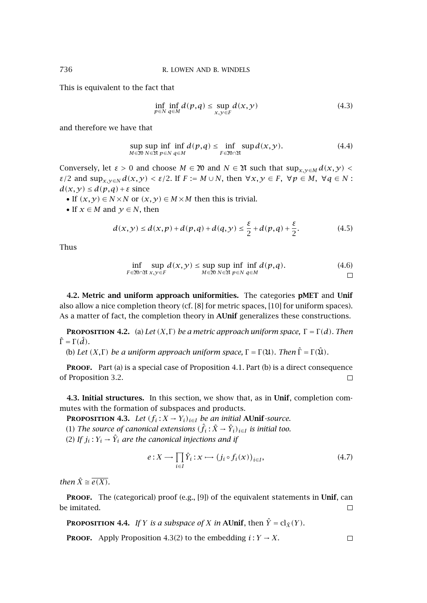This is equivalent to the fact that

$$
\inf_{p \in N} \inf_{q \in M} d(p,q) \le \sup_{x,y \in F} d(x,y) \tag{4.3}
$$

and therefore we have that

$$
\sup_{M \in \mathfrak{W}} \sup_{N \in \mathfrak{M}} \inf_{\varrho \in N} \inf_{q \in M} d(p,q) \le \inf_{F \in \mathfrak{W} \cap \mathfrak{A}} \sup_{\mathcal{A}} d(x,y). \tag{4.4}
$$

Conversely, let  $\varepsilon > 0$  and choose  $M \in \mathfrak{N}$  and  $N \in \mathfrak{N}$  such that  $\sup_{x,y \in M} d(x,y)$ *ε/*2 and sup<sub>*x*,  $y \in N$ </sub>  $d(x, y) < \varepsilon/2$ . If  $F := M \cup N$ , then  $\forall x, y \in F$ ,  $\forall p \in M$ ,  $\forall q \in N$ :  $d(x,y) \leq d(p,q) + \varepsilon$  since

- If  $(x, y) \in N \times N$  or  $(x, y) \in M \times M$  then this is trivial.
- If  $x \in M$  and  $y \in N$ , then

$$
d(x, y) \le d(x, p) + d(p, q) + d(q, y) \le \frac{\varepsilon}{2} + d(p, q) + \frac{\varepsilon}{2}.
$$
 (4.5)

Thus

$$
\inf_{F \in 20 \cap \mathfrak{M}} \sup_{x, y \in F} d(x, y) \le \sup_{M \in 20} \sup_{N \in \mathfrak{M}} \inf_{p \in N} \inf_{q \in M} d(p, q). \tag{4.6}
$$

**4.2. Metric and uniform approach uniformities.** The categories **pMET** and **Unif** also allow a nice completion theory (cf. [\[8\]](#page-10-0) for metric spaces, [\[10\]](#page-10-0) for uniform spaces). As a matter of fact, the completion theory in **AUnif** generalizes these constructions.

**PROPOSITION 4.2.** (a) Let  $(X,\Gamma)$  be a metric approach uniform space,  $\Gamma = \Gamma(d)$ *. Then*  $\hat{\Gamma} = \Gamma(\hat{d})$ .

(b) Let  $(X, \Gamma)$  be a uniform approach uniform space,  $\Gamma = \Gamma(\mathfrak{U})$ . Then  $\hat{\Gamma} = \Gamma(\hat{\mathfrak{U}})$ .

PROOF. Part (a) is a special case of [Proposition 4.1.](#page-6-0) Part (b) is a direct consequence of [Proposition 3.2.](#page-4-0)  $\Box$ 

**4.3. Initial structures.** In this section, we show that, as in **Unif**, completion commutes with the formation of subspaces and products.

**PROPOSITION 4.3.** *Let*  $(f_i : X \to Y_i)_{i \in I}$  *be an initial* **AUnif***-source.* (1) *The source of canonical extensions*  $(\hat{f}_i : \hat{X} \to \hat{Y}_i)_{i \in I}$  *is initial too.* 

(2) If  $j_i: Y_i \to \hat{Y}_i$  are the canonical injections and if

$$
e: X \longrightarrow \prod_{i \in I} \hat{Y}_i : x \longrightarrow (j_i \circ f_i(x))_{i \in I}, \tag{4.7}
$$

*then*  $\hat{X} \cong \overline{e(X)}$ *.* 

**PROOF.** The (categorical) proof (e.g., [\[9\]](#page-10-0)) of the equivalent statements in Unif, can be imitated.  $\Box$ 

**PROPOSITION 4.4.** *If Y is a subspace of X in* **AUnif**, then  $\hat{Y} = \text{cl}_{\hat{X}}(Y)$ .

**PROOF.** Apply Proposition 4.3(2) to the embedding  $i: Y \rightarrow X$ .

<span id="page-7-0"></span>

 $\Box$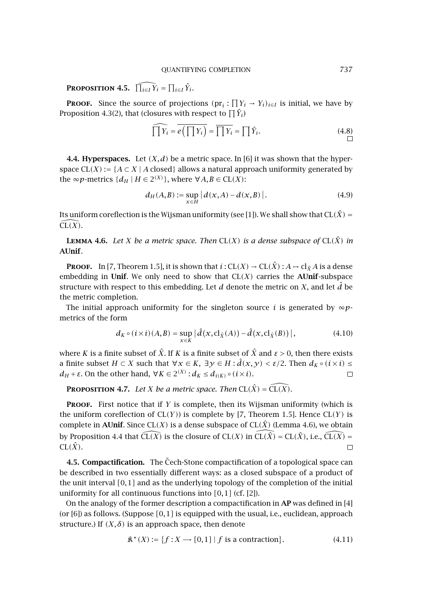**PROPOSITION 4.5.**  $\widehat{\prod_{i \in I} Y_i} = \prod_{i \in I} \hat{Y}_i$ .

**PROOF.** Since the source of projections  $(pr_i : \prod Y_i \rightarrow Y_i)_{i \in I}$  is initial, we have by [Proposition 4.3\(](#page-7-0)2), that (closures with respect to  $\prod \hat{Y}_i$ )

$$
\widehat{\prod Y_i} = \overline{e\left(\prod Y_i\right)} = \overline{\prod Y_i} = \prod \hat{Y}_i. \tag{4.8}
$$

**4.4. Hyperspaces.** Let  $(X, d)$  be a metric space. In [\[6\]](#page-10-0) it was shown that the hyperspace  $CL(X) := \{A \subset X \mid A \text{ closed}\}\$ allows a natural approach uniformity generated by the  $\infty p$ -metrics  $\{d_H \mid H \in 2^{(X)}\}$ , where  $\forall A, B \in CL(X)$ :

$$
d_H(A, B) := \sup_{x \in H} |d(x, A) - d(x, B)|.
$$
 (4.9)

Its uniform coreflection is the Wijsman uniformity (see [\[1\]](#page-10-0)). We shall show that  $CL(\hat{X}) = \widehat{CL(X)}$  $CL(X)$ .

**LEMMA 4.6.** Let *X* be a metric space. Then CL(*X*) is a dense subspace of CL( $\hat{X}$ ) in **AUnif***.*

**PROOF.** In [\[7,](#page-10-0) Theorem 1.5], it is shown that  $i: CL(X) \to CL(\hat{X}): A \to cl_{\hat{X}}A$  is a dense embedding in **Unif**. We only need to show that  $CL(X)$  carries the **AUnif**-subspace structure with respect to this embedding. Let *d* denote the metric on *X*, and let  $\hat{d}$  be the metric completion.

The initial approach uniformity for the singleton source *i* is generated by  $\infty p$ metrics of the form

$$
d_K \circ (i \times i)(A, B) = \sup_{x \in K} |\hat{d}(x, \mathrm{cl}_{\hat{X}}(A)) - \hat{d}(x, \mathrm{cl}_{\hat{X}}(B))|,
$$
(4.10)

where *K* is a finite subset of  $\hat{X}$ . If *K* is a finite subset of  $\hat{X}$  and  $\varepsilon > 0$ , then there exists a finite subset  $H \subset X$  such that  $\forall x \in K$ ,  $\exists y \in H : \hat{d}(x, y) < \varepsilon/2$ . Then  $d_K \circ (i \times i) \leq$ *d<sub>H</sub>* + *ε*. On the other hand, ∀*K* ∈ 2<sup>(*X*)</sup> : *d<sub>K</sub>* ≤ *d*<sub>*i*(*K*)</sub> ∘ (*i* × *i*).  $\Box$ 

**PROPOSITION 4.7.** *Let X be a metric space. Then*  $CL(\hat{X}) = \tilde{CL}(\tilde{X})$ *.* 

**Proof.** First notice that if *Y* is complete, then its Wijsman uniformity (which is the uniform coreflection of CL*(Y )*) is complete by [\[7,](#page-10-0) Theorem 1.5]. Hence CL*(Y )* is complete in **AUnif**. Since  $CL(X)$  is a dense subspace of  $CL(\hat{X})$  (Lemma 4.6), we obtain by [Proposition 4.4](#page-7-0) that  $\widehat{CL(X)}$  is the closure of  $CL(X)$  in  $\widehat{CL(X)} = CL(\hat{X})$ , i.e.,  $\widehat{CL(X)} =$  $CL(\hat{X})$ .  $\Box$ 

**4.5. Compactification.** The Cech-Stone compactification of a topological space can be described in two essentially different ways: as a closed subspace of a product of the unit interval *[*0*,*1*]* and as the underlying topology of the completion of the initial uniformity for all continuous functions into *[*0*,*1*]* (cf. [\[2\]](#page-10-0)).

On the analogy of the former description a compactification in **AP** was defined in [\[4\]](#page-10-0) (or [\[6\]](#page-10-0)) as follows. (Suppose *[*0*,*1*]* is equipped with the usual, i.e., euclidean, approach structure.) If  $(X, \delta)$  is an approach space, then denote

$$
\mathbf{\hat{x}}^{\star}(X) := \{ f : X \to [0,1] \mid f \text{ is a contraction} \}. \tag{4.11}
$$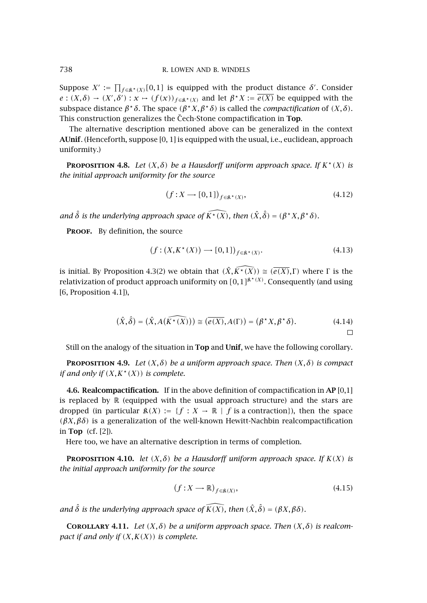Suppose  $X' := \prod_{f \in \mathbb{R}^{\star}(X)}[0,1]$  is equipped with the product distance  $\delta'$ . Consider  $e:(X,\delta) \to (X',\delta'): x \mapsto (f(x))_{f \in \mathbb{R}^*(X)}$  and let  $\beta^*X := \overline{e(X)}$  be equipped with the subspace distance  $\beta^* \delta$ . The space  $(\beta^* X, \beta^* \delta)$  is called the *compactification* of  $(X, \delta)$ . This construction generalizes the Cech-Stone compactification in **Top**.

The alternative description mentioned above can be generalized in the context **AUnif**. (Henceforth, suppose [0, 1] is equipped with the usual, i.e., euclidean, approach uniformity.)

**PROPOSITION 4.8.** *Let*  $(X, \delta)$  *be a Hausdorff uniform approach space. If*  $K^*(X)$  *is the initial approach uniformity for the source*

$$
(f: X \longrightarrow [0,1])_{f \in \mathbb{R}^*(X)},\tag{4.12}
$$

*and*  $\hat{\delta}$  *is the underlying approach space of*  $\widehat{K^*(X)}$ *, then*  $(\hat{X}, \hat{\delta}) = (\beta^* X, \beta^* \delta)$ *.* 

PROOF. By definition, the source

$$
(f: (X, K^*(X)) \longrightarrow [0,1])_{f \in \mathbb{R}^*(X)}.
$$
\n
$$
(4.13)
$$

is initial. By [Proposition 4.3\(](#page-7-0)2) we obtain that  $(\hat{X}, \hat{K^*(X)}) \cong (\overline{e(X)}, \Gamma)$  where  $\Gamma$  is the relativization of product approach uniformity on  $[0,1]^{k^*(X)}$ . Consequently (and using [\[6,](#page-10-0) Proposition 4.1]),

$$
(\hat{X}, \hat{\delta}) = (\hat{X}, A(\widehat{K^*(X)})) \cong (\overline{e(X)}, A(\Gamma)) = (\beta^* X, \beta^* \delta).
$$
 (4.14)

Still on the analogy of the situation in **Top** and **Unif**, we have the following corollary.

**PROPOSITION 4.9.** *Let*  $(X, \delta)$  *be a uniform approach space. Then*  $(X, \delta)$  *is compact if and only if*  $(X, K^*(X))$  *is complete.* 

**4.6. Realcompactification.** If in the above definition of compactification in **AP** [0,1] is replaced by  $\mathbb R$  (equipped with the usual approach structure) and the stars are dropped (in particular  $\mathfrak{K}(X) := \{f : X \to \mathbb{R} \mid f \text{ is a contraction}\}\)$ , then the space *(βX,βδ)* is a generalization of the well-known Hewitt-Nachbin realcompactification in **Top** (cf. [\[2\]](#page-10-0)).

Here too, we have an alternative description in terms of completion.

**PROPOSITION 4.10.** *let*  $(X, \delta)$  *be a Hausdorff uniform approach space. If*  $K(X)$  *is the initial approach uniformity for the source*

$$
(f: X \longrightarrow \mathbb{R})_{f \in \mathbb{R}(X)},\tag{4.15}
$$

*and*  $\hat{\delta}$  *is the underlying approach space of*  $\widehat{K(X)}$ *, then*  $(\hat{X}, \hat{\delta}) = (\beta X, \beta \delta)$ *.* 

**COROLLARY 4.11.** *Let*  $(X, \delta)$  *be a uniform approach space. Then*  $(X, \delta)$  *is realcompact if and only if (X,K(X)) is complete.*